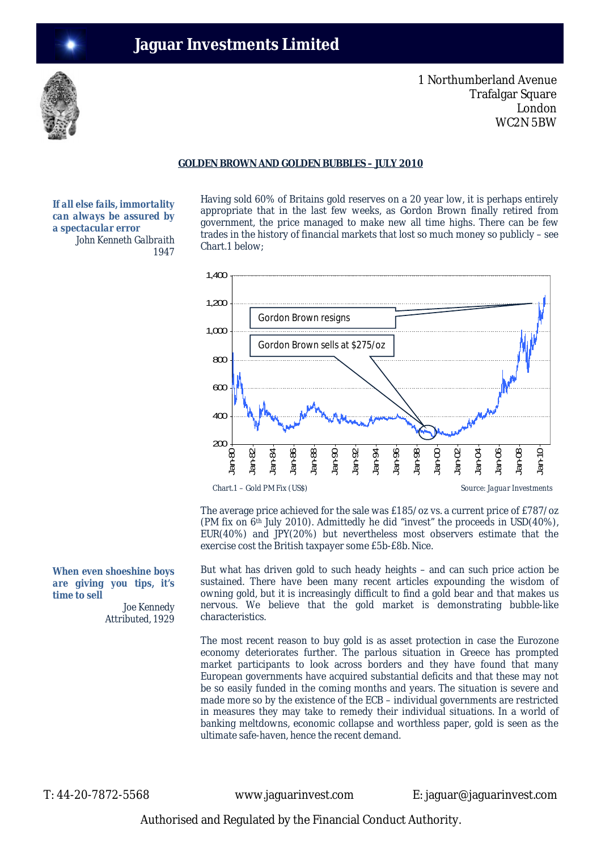

1 Northumberland Avenue Trafalgar Square London WC2N 5BW

## **GOLDEN BROWN AND GOLDEN BUBBLES – JULY 2010**

*If all else fails, immortality can always be assured by a spectacular error John Kenneth Galbraith 1947*

Having sold 60% of Britains gold reserves on a 20 year low, it is perhaps entirely appropriate that in the last few weeks, as Gordon Brown finally retired from government, the price managed to make new all time highs. There can be few trades in the history of financial markets that lost so much money so publicly – see Chart.1 below;



The average price achieved for the sale was £185/oz vs. a current price of £787/oz (PM fix on 6th July 2010). Admittedly he did "invest" the proceeds in USD(40%), EUR(40%) and JPY(20%) but nevertheless most observers estimate that the exercise cost the British taxpayer some £5b-£8b. Nice.

But what has driven gold to such heady heights – and can such price action be sustained. There have been many recent articles expounding the wisdom of owning gold, but it is increasingly difficult to find a gold bear and that makes us nervous. We believe that the gold market is demonstrating bubble-like characteristics.

The most recent reason to buy gold is as asset protection in case the Eurozone economy deteriorates further. The parlous situation in Greece has prompted market participants to look across borders and they have found that many European governments have acquired substantial deficits and that these may not be so easily funded in the coming months and years. The situation is severe and made more so by the existence of the ECB – individual governments are restricted in measures they may take to remedy their individual situations. In a world of banking meltdowns, economic collapse and worthless paper, gold is seen as the ultimate safe-haven, hence the recent demand.

T: 44-20-7872-5568 www.jaguarinvest.com E: jaguar@jaguarinvest.com

Authorised and Regulated by the Financial Conduct Authority.

*When even shoeshine boys are giving you tips, it's time to sell*

> *Joe Kennedy Attributed, 1929*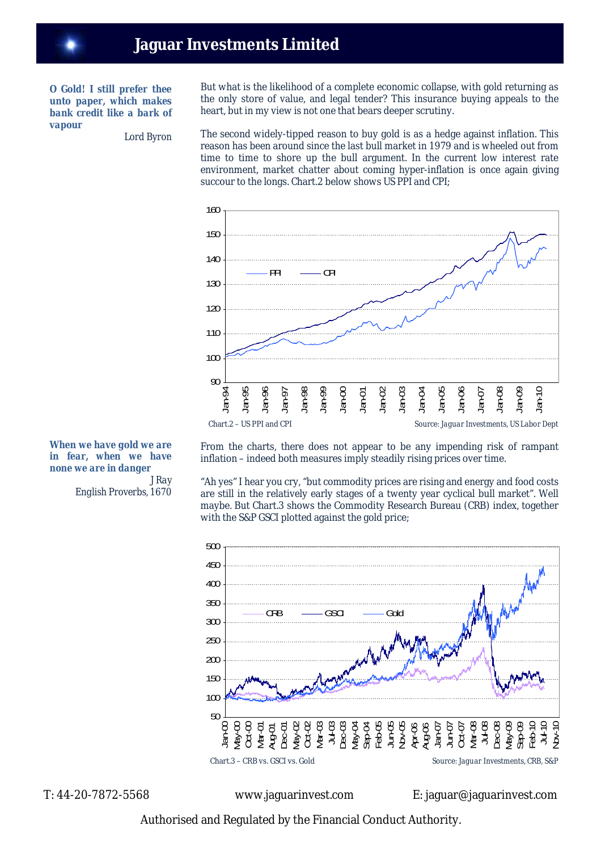*O Gold! I still prefer thee unto paper, which makes bank credit like a bark of vapour*

*Lord Byron*

But what is the likelihood of a complete economic collapse, with gold returning as the only store of value, and legal tender? This insurance buying appeals to the heart, but in my view is not one that bears deeper scrutiny.

The second widely-tipped reason to buy gold is as a hedge against inflation. This reason has been around since the last bull market in 1979 and is wheeled out from time to time to shore up the bull argument. In the current low interest rate environment, market chatter about coming hyper-inflation is once again giving succour to the longs. Chart.2 below shows US PPI and CPI;



From the charts, there does not appear to be any impending risk of rampant inflation – indeed both measures imply steadily rising prices over time.

"Ah yes" I hear you cry, "but commodity prices are rising and energy and food costs are still in the relatively early stages of a twenty year cyclical bull market". Well maybe. But Chart.3 shows the Commodity Research Bureau (CRB) index, together with the S&P GSCI plotted against the gold price;



*When we have gold we are in fear, when we have none we are in danger J Ray English Proverbs, 1670*

T: 44-20-7872-5568 www.jaguarinvest.com E: jaguar@jaguarinvest.com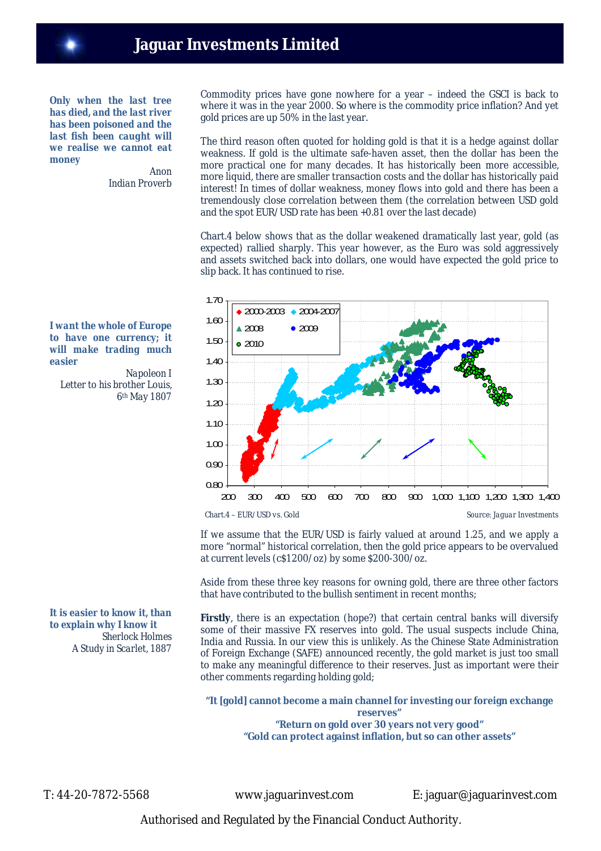*Only when the last tree has died, and the last river has been poisoned and the last fish been caught will we realise we cannot eat money*

*Anon Indian Proverb* Commodity prices have gone nowhere for a year – indeed the GSCI is back to where it was in the year 2000. So where is the commodity price inflation? And yet gold prices are up 50% in the last year.

The third reason often quoted for holding gold is that it is a hedge against dollar weakness. If gold is the ultimate safe-haven asset, then the dollar has been the more practical one for many decades. It has historically been more accessible, more liquid, there are smaller transaction costs and the dollar has historically paid interest! In times of dollar weakness, money flows into gold and there has been a tremendously close correlation between them (the correlation between USD gold and the spot EUR/USD rate has been +0.81 over the last decade)

Chart.4 below shows that as the dollar weakened dramatically last year, gold (as expected) rallied sharply. This year however, as the Euro was sold aggressively and assets switched back into dollars, one would have expected the gold price to slip back. It has continued to rise.



*I want the whole of Europe to have one currency; it will make trading much easier*

*Napoleon I Letter to his brother Louis, 6th May 1807*

If we assume that the EUR/USD is fairly valued at around 1.25, and we apply a more "normal" historical correlation, then the gold price appears to be overvalued at current levels (c\$1200/oz) by some \$200-300/oz.

Aside from these three key reasons for owning gold, there are three other factors that have contributed to the bullish sentiment in recent months;

**Firstly**, there is an expectation (hope?) that certain central banks will diversify some of their massive FX reserves into gold. The usual suspects include China, India and Russia. In our view this is unlikely. As the Chinese State Administration of Foreign Exchange (SAFE) announced recently, the gold market is just too small to make any meaningful difference to their reserves. Just as important were their other comments regarding holding gold;

#### **"It [gold] cannot become a main channel for investing our foreign exchange reserves" "Return on gold over 30 years not very good"**

**"Gold can protect against inflation, but so can other assets"**

*It is easier to know it, than to explain why I know it Sherlock Holmes A Study in Scarlet, 1887*

T: 44-20-7872-5568 www.jaguarinvest.com E: jaguar@jaguarinvest.com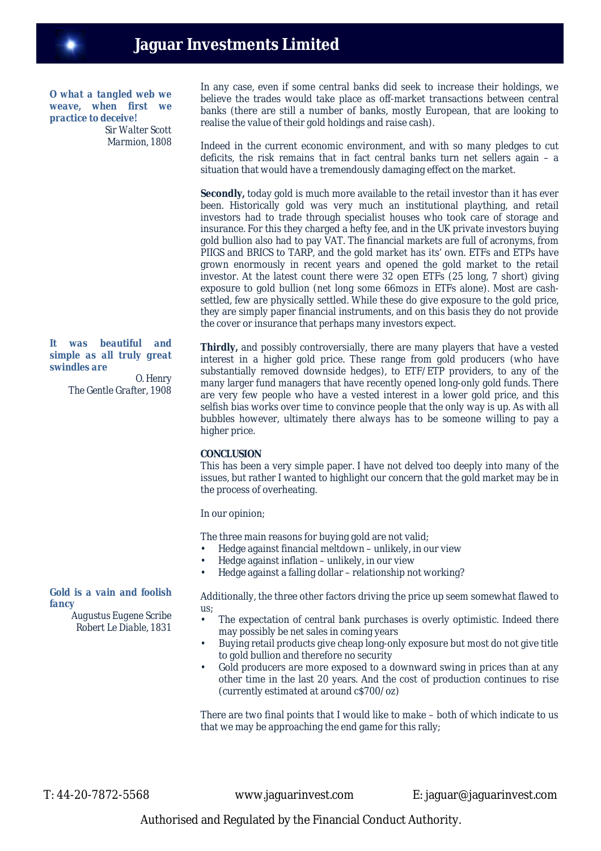

*O what a tangled web we weave, when first we practice to deceive! Sir Walter Scott Marmion, 1808*

## *It was beautiful and simple as all truly great swindles are*

*O. Henry The Gentle Grafter, 1908*

## *Gold is a vain and foolish fancy*

*Augustus Eugene Scribe Robert Le Diable, 1831* In any case, even if some central banks did seek to increase their holdings, we believe the trades would take place as off-market transactions between central banks (there are still a number of banks, mostly European, that are looking to realise the value of their gold holdings and raise cash).

Indeed in the current economic environment, and with so many pledges to cut deficits, the risk remains that in fact central banks turn net sellers again – a situation that would have a tremendously damaging effect on the market.

**Secondly,** today gold is much more available to the retail investor than it has ever been. Historically gold was very much an institutional plaything, and retail investors had to trade through specialist houses who took care of storage and insurance. For this they charged a hefty fee, and in the UK private investors buying gold bullion also had to pay VAT. The financial markets are full of acronyms, from PIIGS and BRICS to TARP, and the gold market has its' own. ETFs and ETPs have grown enormously in recent years and opened the gold market to the retail investor. At the latest count there were 32 open ETFs (25 long, 7 short) giving exposure to gold bullion (net long some 66mozs in ETFs alone). Most are cashsettled, few are physically settled. While these do give exposure to the gold price, they are simply paper financial instruments, and on this basis they do not provide the cover or insurance that perhaps many investors expect.

**Thirdly,** and possibly controversially, there are many players that have a vested interest in a higher gold price. These range from gold producers (who have substantially removed downside hedges), to ETF/ETP providers, to any of the many larger fund managers that have recently opened long-only gold funds. There are very few people who have a vested interest in a lower gold price, and this selfish bias works over time to convince people that the only way is up. As with all bubbles however, ultimately there always has to be someone willing to pay a higher price.

## **CONCLUSION**

This has been a very simple paper. I have not delved too deeply into many of the issues, but rather I wanted to highlight our concern that the gold market may be in the process of overheating.

#### In our opinion;

The three main reasons for buying gold are not valid;

- Hedge against financial meltdown unlikely, in our view
- Hedge against inflation unlikely, in our view
- Hedge against a falling dollar relationship not working?

Additionally, the three other factors driving the price up seem somewhat flawed to us;

- The expectation of central bank purchases is overly optimistic. Indeed there may possibly be net sales in coming years
- Buying retail products give cheap long-only exposure but most do not give title to gold bullion and therefore no security
- Gold producers are more exposed to a downward swing in prices than at any other time in the last 20 years. And the cost of production continues to rise (currently estimated at around c\$700/oz)

There are two final points that I would like to make – both of which indicate to us that we may be approaching the end game for this rally;

T: 44-20-7872-5568 www.jaguarinvest.com E: jaguar@jaguarinvest.com